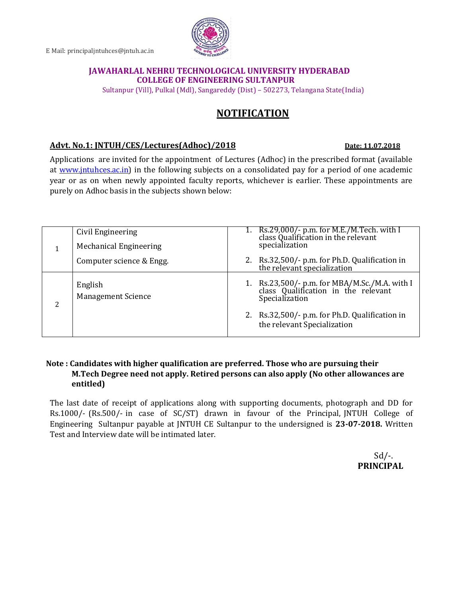E Mail: principaljntuhces@jntuh.ac.in

## **JAWAHARLAL NEHRU TECHNOLOGICAL UNIVERSITY HYDERABAD COLLEGE OF ENGINEERING SULTANPUR**

Sultanpur (Vill), Pulkal (Mdl), Sangareddy (Dist) – 502273, Telangana State(India)

## **NOTIFICATION**

## **Advt. No.1: JNTUH/CES/Lectures(Adhoc)/2018 Date: 11.07.2018**

Applications are invited for the appointment of Lectures (Adhoc) in the prescribed format (available at [www.jntuhces.ac.in\)](http://www.jntuhces.ac.in/) in the following subjects on a consolidated pay for a period of one academic year or as on when newly appointed faculty reports, whichever is earlier. These appointments are purely on Adhoc basis in the subjects shown below:

|  | Civil Engineering                    | 1. Rs.29,000/- p.m. for M.E./M.Tech. with I class Qualification in the relevant                     |
|--|--------------------------------------|-----------------------------------------------------------------------------------------------------|
|  | <b>Mechanical Engineering</b>        | specialization                                                                                      |
|  | Computer science & Engg.             | 2. Rs.32,500/- p.m. for Ph.D. Qualification in<br>the relevant specialization                       |
|  | English<br><b>Management Science</b> | 1. Rs.23,500/- p.m. for MBA/M.Sc./M.A. with I class Qualification in the relevant<br>Specialization |
|  |                                      | 2. Rs.32,500/- p.m. for Ph.D. Qualification in<br>the relevant Specialization                       |

## **Note : Candidates with higher qualification are preferred. Those who are pursuing their M.Tech Degree need not apply. Retired persons can also apply (No other allowances are entitled)**

The last date of receipt of applications along with supporting documents, photograph and DD for Rs.1000/- (Rs.500/- in case of SC/ST) drawn in favour of the Principal, JNTUH College of Engineering Sultanpur payable at JNTUH CE Sultanpur to the undersigned is **23-07-2018.** Written Test and Interview date will be intimated later.

> $Sd$  /-. **PRINCIPAL**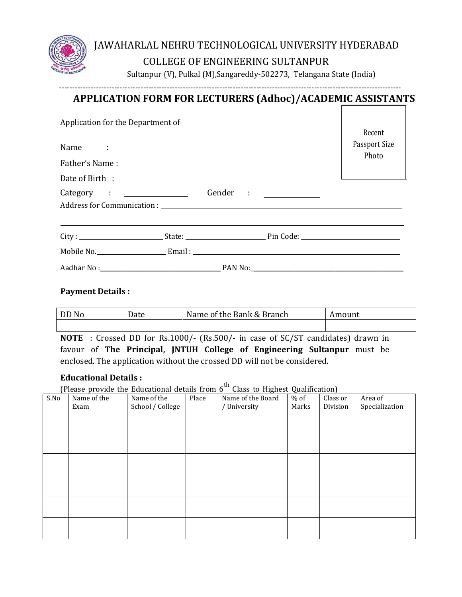

# JAWAHARLAL NEHRU TECHNOLOGICAL UNIVERSITY HYDERABAD COLLEGE OF ENGINEERING SULTANPUR

Sultanpur (V), Pulkal (M),Sangareddy-502273, Telangana State (India)

# ---------------------------------------------------------------------------------------------------------------------------------- **APPLICATION FORM FOR LECTURERS (Adhoc)/ACADEMIC ASSISTANTS**

|  | Recent<br>Passport Size |       |  |
|--|-------------------------|-------|--|
|  |                         | Photo |  |
|  |                         |       |  |
|  |                         |       |  |
|  |                         |       |  |
|  |                         |       |  |
|  |                         |       |  |
|  |                         |       |  |
|  |                         |       |  |

## **Payment Details :**

| No<br>DD | Date | Name of the Bank & Branch | Amount |  |
|----------|------|---------------------------|--------|--|
|          |      |                           |        |  |

**NOTE** : Crossed DD for Rs.1000/- (Rs.500/- in case of SC/ST candidates) drawn in favour of **The Principal, JNTUH College of Engineering Sultanpur** must be enclosed. The application without the crossed DD will not be considered.

## **Educational Details :**

(Please provide the Educational details from  $6<sup>th</sup>$  Class to Highest Qualification)

| S.No | Name of the | Name of the      | Place | <u>c</u><br>Name of the Board | $\tilde{\phantom{a}}$<br>$%$ of | $\overline{\phantom{a}}$<br>Class or | Area of        |
|------|-------------|------------------|-------|-------------------------------|---------------------------------|--------------------------------------|----------------|
|      | Exam        | School / College |       | University                    | Marks                           | Division                             | Specialization |
|      |             |                  |       |                               |                                 |                                      |                |
|      |             |                  |       |                               |                                 |                                      |                |
|      |             |                  |       |                               |                                 |                                      |                |
|      |             |                  |       |                               |                                 |                                      |                |
|      |             |                  |       |                               |                                 |                                      |                |
|      |             |                  |       |                               |                                 |                                      |                |
|      |             |                  |       |                               |                                 |                                      |                |
|      |             |                  |       |                               |                                 |                                      |                |
|      |             |                  |       |                               |                                 |                                      |                |
|      |             |                  |       |                               |                                 |                                      |                |
|      |             |                  |       |                               |                                 |                                      |                |
|      |             |                  |       |                               |                                 |                                      |                |